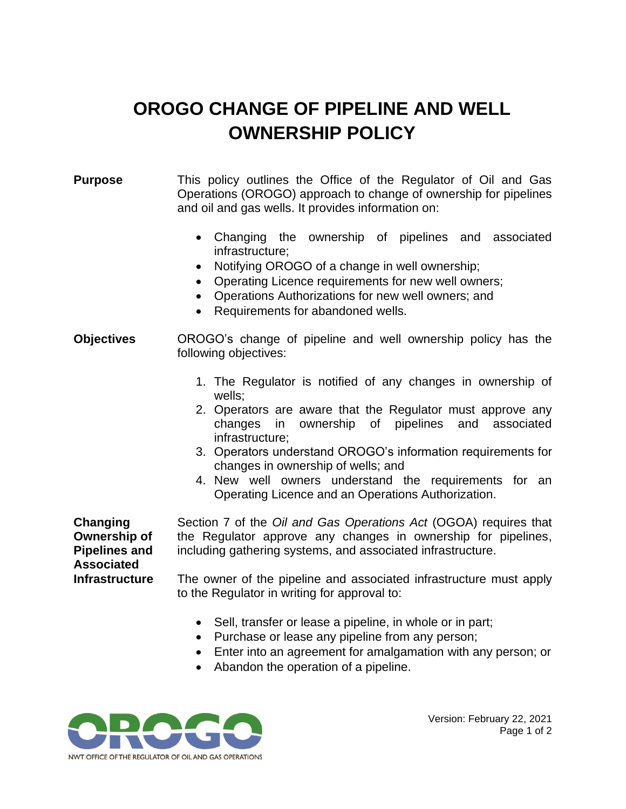## **OROGO CHANGE OF PIPELINE AND WELL OWNERSHIP POLICY**

## **Purpose** This policy outlines the Office of the Regulator of Oil and Gas Operations (OROGO) approach to change of ownership for pipelines and oil and gas wells. It provides information on:

- Changing the ownership of pipelines and associated infrastructure;
- Notifying OROGO of a change in well ownership;
- Operating Licence requirements for new well owners;
- Operations Authorizations for new well owners; and
- Requirements for abandoned wells.
- **Objectives** OROGO's change of pipeline and well ownership policy has the following objectives:
	- 1. The Regulator is notified of any changes in ownership of wells;
	- 2. Operators are aware that the Regulator must approve any changes in ownership of pipelines and associated infrastructure;
	- 3. Operators understand OROGO's information requirements for changes in ownership of wells; and
	- 4. New well owners understand the requirements for an Operating Licence and an Operations Authorization.

**Changing Ownership of Pipelines and Associated Infrastructure**

Section 7 of the *Oil and Gas Operations Act* (OGOA) requires that the Regulator approve any changes in ownership for pipelines, including gathering systems, and associated infrastructure.

The owner of the pipeline and associated infrastructure must apply to the Regulator in writing for approval to:

- Sell, transfer or lease a pipeline, in whole or in part;
- Purchase or lease any pipeline from any person;
- Enter into an agreement for amalgamation with any person; or
- Abandon the operation of a pipeline.